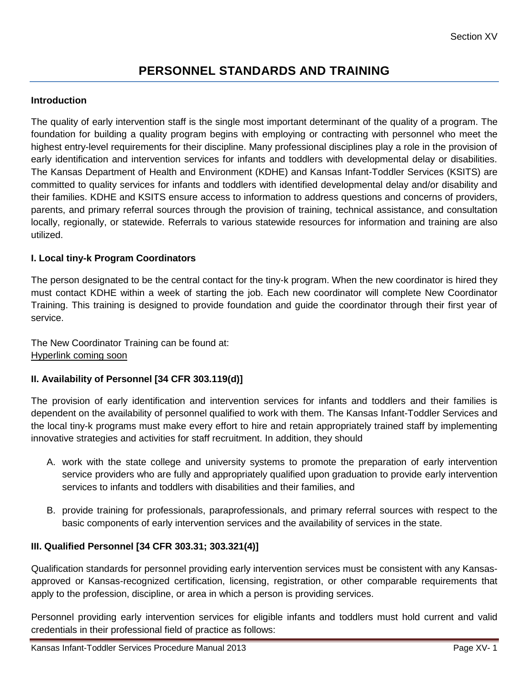# **PERSONNEL STANDARDS AND TRAINING**

### **Introduction**

The quality of early intervention staff is the single most important determinant of the quality of a program. The foundation for building a quality program begins with employing or contracting with personnel who meet the highest entry-level requirements for their discipline. Many professional disciplines play a role in the provision of early identification and intervention services for infants and toddlers with developmental delay or disabilities. The Kansas Department of Health and Environment (KDHE) and Kansas Infant-Toddler Services (KSITS) are committed to quality services for infants and toddlers with identified developmental delay and/or disability and their families. KDHE and KSITS ensure access to information to address questions and concerns of providers, parents, and primary referral sources through the provision of training, technical assistance, and consultation locally, regionally, or statewide. Referrals to various statewide resources for information and training are also utilized.

### **I. Local tiny-k Program Coordinators**

The person designated to be the central contact for the tiny-k program. When the new coordinator is hired they must contact KDHE within a week of starting the job. Each new coordinator will complete New Coordinator Training. This training is designed to provide foundation and guide the coordinator through their first year of service.

The New Coordinator Training can be found at: Hyperlink coming soon

#### **II. Availability of Personnel [34 CFR 303.119(d)]**

The provision of early identification and intervention services for infants and toddlers and their families is dependent on the availability of personnel qualified to work with them. The Kansas Infant-Toddler Services and the local tiny-k programs must make every effort to hire and retain appropriately trained staff by implementing innovative strategies and activities for staff recruitment. In addition, they should

- A. work with the state college and university systems to promote the preparation of early intervention service providers who are fully and appropriately qualified upon graduation to provide early intervention services to infants and toddlers with disabilities and their families, and
- B. provide training for professionals, paraprofessionals, and primary referral sources with respect to the basic components of early intervention services and the availability of services in the state.

# **III. Qualified Personnel [34 CFR 303.31; 303.321(4)]**

Qualification standards for personnel providing early intervention services must be consistent with any Kansasapproved or Kansas-recognized certification, licensing, registration, or other comparable requirements that apply to the profession, discipline, or area in which a person is providing services.

Personnel providing early intervention services for eligible infants and toddlers must hold current and valid credentials in their professional field of practice as follows: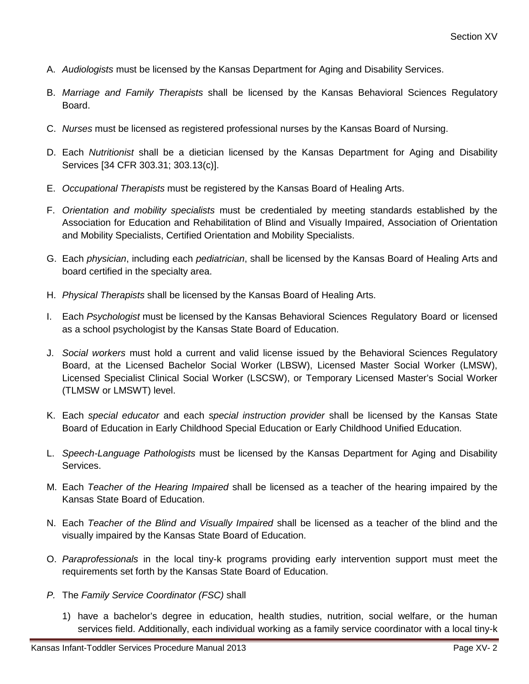- A. *Audiologists* must be licensed by the Kansas Department for Aging and Disability Services.
- B. *Marriage and Family Therapists* shall be licensed by the Kansas Behavioral Sciences Regulatory Board.
- C. *Nurses* must be licensed as registered professional nurses by the Kansas Board of Nursing.
- D. Each *Nutritionist* shall be a dietician licensed by the Kansas Department for Aging and Disability Services [34 CFR 303.31; 303.13(c)].
- E. *Occupational Therapists* must be registered by the Kansas Board of Healing Arts.
- F. *Orientation and mobility specialists* must be credentialed by meeting standards established by the Association for Education and Rehabilitation of Blind and Visually Impaired, Association of Orientation and Mobility Specialists, Certified Orientation and Mobility Specialists.
- G. Each *physician*, including each *pediatrician*, shall be licensed by the Kansas Board of Healing Arts and board certified in the specialty area.
- H. *Physical Therapists* shall be licensed by the Kansas Board of Healing Arts.
- I. Each *Psychologist* must be licensed by the Kansas Behavioral Sciences Regulatory Board or licensed as a school psychologist by the Kansas State Board of Education.
- J. *Social workers* must hold a current and valid license issued by the Behavioral Sciences Regulatory Board, at the Licensed Bachelor Social Worker (LBSW), Licensed Master Social Worker (LMSW), Licensed Specialist Clinical Social Worker (LSCSW), or Temporary Licensed Master's Social Worker (TLMSW or LMSWT) level.
- K. Each *special educator* and each *special instruction provider* shall be licensed by the Kansas State Board of Education in Early Childhood Special Education or Early Childhood Unified Education.
- L. *Speech-Language Pathologists* must be licensed by the Kansas Department for Aging and Disability Services.
- M. Each *Teacher of the Hearing Impaired* shall be licensed as a teacher of the hearing impaired by the Kansas State Board of Education.
- N. Each *Teacher of the Blind and Visually Impaired* shall be licensed as a teacher of the blind and the visually impaired by the Kansas State Board of Education.
- O. *Paraprofessionals* in the local tiny-k programs providing early intervention support must meet the requirements set forth by the Kansas State Board of Education.
- *P.* The *Family Service Coordinator (FSC)* shall
	- 1) have a bachelor's degree in education, health studies, nutrition, social welfare, or the human services field. Additionally, each individual working as a family service coordinator with a local tiny-k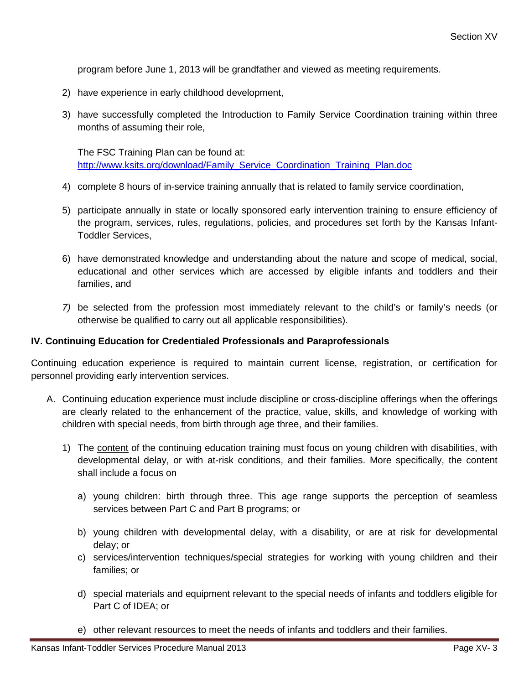program before June 1, 2013 will be grandfather and viewed as meeting requirements.

- 2) have experience in early childhood development,
- 3) have successfully completed the Introduction to Family Service Coordination training within three months of assuming their role,

The FSC Training Plan can be found at: [http://www.ksits.org/download/Family\\_Service\\_Coordination\\_Training\\_Plan.doc](http://www.ksits.org/download/Family_Service_Coordination_Training_Plan.doc)

- 4) complete 8 hours of in-service training annually that is related to family service coordination,
- 5) participate annually in state or locally sponsored early intervention training to ensure efficiency of the program, services, rules, regulations, policies, and procedures set forth by the Kansas Infant-Toddler Services,
- 6) have demonstrated knowledge and understanding about the nature and scope of medical, social, educational and other services which are accessed by eligible infants and toddlers and their families, and
- *7)* be selected from the profession most immediately relevant to the child's or family's needs (or otherwise be qualified to carry out all applicable responsibilities).

#### **IV. Continuing Education for Credentialed Professionals and Paraprofessionals**

Continuing education experience is required to maintain current license, registration, or certification for personnel providing early intervention services.

- A. Continuing education experience must include discipline or cross-discipline offerings when the offerings are clearly related to the enhancement of the practice, value, skills, and knowledge of working with children with special needs, from birth through age three, and their families.
	- 1) The content of the continuing education training must focus on young children with disabilities, with developmental delay, or with at-risk conditions, and their families. More specifically, the content shall include a focus on
		- a) young children: birth through three. This age range supports the perception of seamless services between Part C and Part B programs; or
		- b) young children with developmental delay, with a disability, or are at risk for developmental delay; or
		- c) services/intervention techniques/special strategies for working with young children and their families; or
		- d) special materials and equipment relevant to the special needs of infants and toddlers eligible for Part C of IDEA; or
		- e) other relevant resources to meet the needs of infants and toddlers and their families.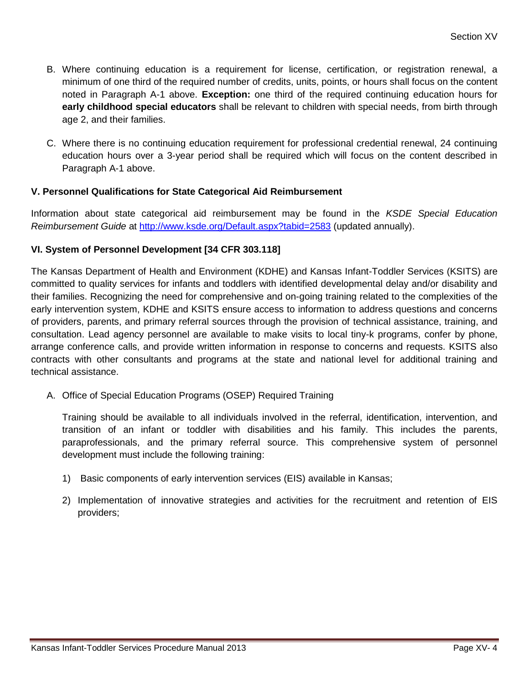- B. Where continuing education is a requirement for license, certification, or registration renewal, a minimum of one third of the required number of credits, units, points, or hours shall focus on the content noted in Paragraph A-1 above. **Exception:** one third of the required continuing education hours for **early childhood special educators** shall be relevant to children with special needs, from birth through age 2, and their families.
- C. Where there is no continuing education requirement for professional credential renewal, 24 continuing education hours over a 3-year period shall be required which will focus on the content described in Paragraph A-1 above.

# **V. Personnel Qualifications for State Categorical Aid Reimbursement**

Information about state categorical aid reimbursement may be found in the *KSDE Special Education Reimbursement Guide* at<http://www.ksde.org/Default.aspx?tabid=2583> (updated annually).

# **VI. System of Personnel Development [34 CFR 303.118]**

The Kansas Department of Health and Environment (KDHE) and Kansas Infant-Toddler Services (KSITS) are committed to quality services for infants and toddlers with identified developmental delay and/or disability and their families. Recognizing the need for comprehensive and on-going training related to the complexities of the early intervention system, KDHE and KSITS ensure access to information to address questions and concerns of providers, parents, and primary referral sources through the provision of technical assistance, training, and consultation. Lead agency personnel are available to make visits to local tiny-k programs, confer by phone, arrange conference calls, and provide written information in response to concerns and requests. KSITS also contracts with other consultants and programs at the state and national level for additional training and technical assistance.

A. Office of Special Education Programs (OSEP) Required Training

Training should be available to all individuals involved in the referral, identification, intervention, and transition of an infant or toddler with disabilities and his family. This includes the parents, paraprofessionals, and the primary referral source. This comprehensive system of personnel development must include the following training:

- 1) Basic components of early intervention services (EIS) available in Kansas;
- 2) Implementation of innovative strategies and activities for the recruitment and retention of EIS providers;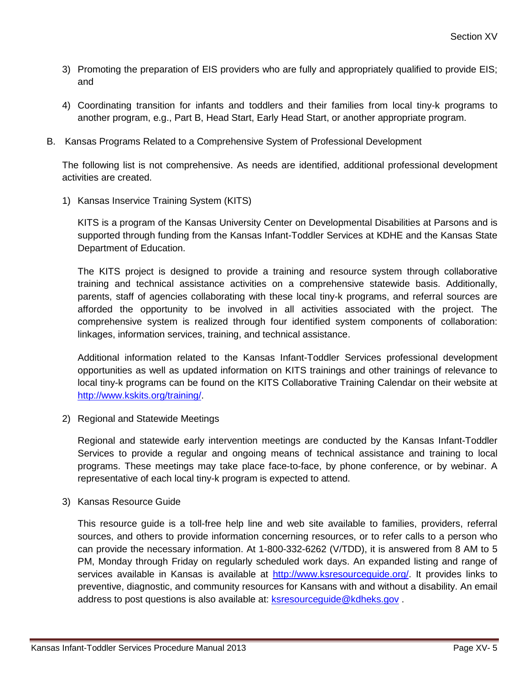- 3) Promoting the preparation of EIS providers who are fully and appropriately qualified to provide EIS; and
- 4) Coordinating transition for infants and toddlers and their families from local tiny-k programs to another program, e.g., Part B, Head Start, Early Head Start, or another appropriate program.
- B. Kansas Programs Related to a Comprehensive System of Professional Development

The following list is not comprehensive. As needs are identified, additional professional development activities are created.

1) Kansas Inservice Training System (KITS)

KITS is a program of the Kansas University Center on Developmental Disabilities at Parsons and is supported through funding from the Kansas Infant-Toddler Services at KDHE and the Kansas State Department of Education.

The KITS project is designed to provide a training and resource system through collaborative training and technical assistance activities on a comprehensive statewide basis. Additionally, parents, staff of agencies collaborating with these local tiny-k programs, and referral sources are afforded the opportunity to be involved in all activities associated with the project. The comprehensive system is realized through four identified system components of collaboration: linkages, information services, training, and technical assistance.

Additional information related to the Kansas Infant-Toddler Services professional development opportunities as well as updated information on KITS trainings and other trainings of relevance to local tiny-k programs can be found on the KITS Collaborative Training Calendar on their website at [http://www.kskits.org/training/.](http://www.kskits.org/training/)

2) Regional and Statewide Meetings

Regional and statewide early intervention meetings are conducted by the Kansas Infant-Toddler Services to provide a regular and ongoing means of technical assistance and training to local programs. These meetings may take place face-to-face, by phone conference, or by webinar. A representative of each local tiny-k program is expected to attend.

3) Kansas Resource Guide

This resource guide is a toll-free help line and web site available to families, providers, referral sources, and others to provide information concerning resources, or to refer calls to a person who can provide the necessary information. At 1-800-332-6262 (V/TDD), it is answered from 8 AM to 5 PM, Monday through Friday on regularly scheduled work days. An expanded listing and range of services available in Kansas is available at [http://www.ksresourceguide.org/.](http://www.ksresourceguide.org/) It provides links to preventive, diagnostic, and community resources for Kansans with and without a disability. An email address to post questions is also available at: [ksresourceguide@kdheks.gov](mailto:ksresourceguide@kdheks.gov)